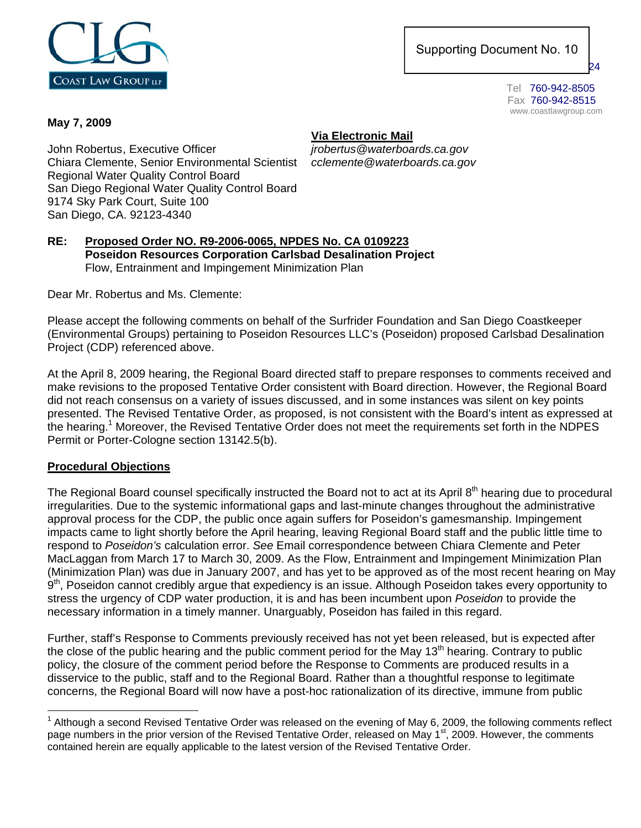

 169 Saxony Road Supporting Document No. 10

Encinitas, CA 924

Fax 760-942-8515 www.coastlawgroup.com

### **May 7, 2009**

**Via Electronic Mail**

John Robertus , Executive Officer *jrobertus@waterboards.ca.gov* Chiara Clemente, Senior Environmental Scientist *cclemente@waterboards.ca.gov* Regional Water Quality Control Board San Diego Regional Water Quality Control Board 9174 Sky Park Court, Suite 100 San Diego, CA. 92123-4340

#### **RE: Proposed Order NO. R9-2006-0065, NPDES No. CA 0109223 Poseidon Resources Corporation Carlsbad Desalination Project**  Flow, Entrainment and Impingement Minimization Plan

Dear Mr. Robertus and Ms. Clemente:

Please accept the following comments on behalf of the Surfrider Foundation and San Diego Coastkeeper (Environmental Groups) pertaining to Poseidon Resources LLC's (Poseidon) proposed Carlsbad Desalination Project (CDP) referenced above.

At the April 8, 2009 hearing, the Regional Board directed staff to prepare responses to comments received and make revisions to the proposed Tentative Order consistent with Board direction. However, the Regional Board did not reach consensus on a variety of issues discussed, and in some instances was silent on key points presented. The Revised Tentative Order, as proposed, is not consistent with the Board's intent as expressed at the hearing.<sup>1</sup> Moreover, the Revised Tentative Order does not meet the requirements set forth in the NDPES Permit or Porter-Cologne section 13142.5(b).

# **Procedural Objections**

The Regional Board counsel specifically instructed the Board not to act at its April 8<sup>th</sup> hearing due to procedural irregularities. Due to the systemic informational gaps and last-minute changes throughout the administrative approval process for the CDP, the public once again suffers for Poseidon's gamesmanship. Impingement impacts came to light shortly before the April hearing, leaving Regional Board staff and the public little time to respond to *Poseidon's* calculation error. *See* Email correspondence between Chiara Clemente and Peter MacLaggan from March 17 to March 30, 2009. As the Flow, Entrainment and Impingement Minimization Plan (Minimization Plan) was due in January 2007, and has yet to be approved as of the most recent hearing on May 9<sup>th</sup>, Poseidon cannot credibly argue that expediency is an issue. Although Poseidon takes every opportunity to stress the urgency of CDP water production, it is and has been incumbent upon *Poseidon* to provide the necessary information in a timely manner. Unarguably, Poseidon has failed in this regard.

Further, staff's Response to Comments previously received has not yet been released, but is expected after the close of the public hearing and the public comment period for the May  $13<sup>th</sup>$  hearing. Contrary to public policy, the closure of the comment period before the Response to Comments are produced results in a disservice to the public, staff and to the Regional Board. Rather than a thoughtful response to legitimate concerns, the Regional Board will now have a post-hoc rationalization of its directive, immune from public

<sup>1</sup>  $1$  Although a second Revised Tentative Order was released on the evening of May 6, 2009, the following comments reflect page numbers in the prior version of the Revised Tentative Order, released on May 1<sup>st</sup>, 2009. However, the comments contained herein are equally applicable to the latest version of the Revised Tentative Order.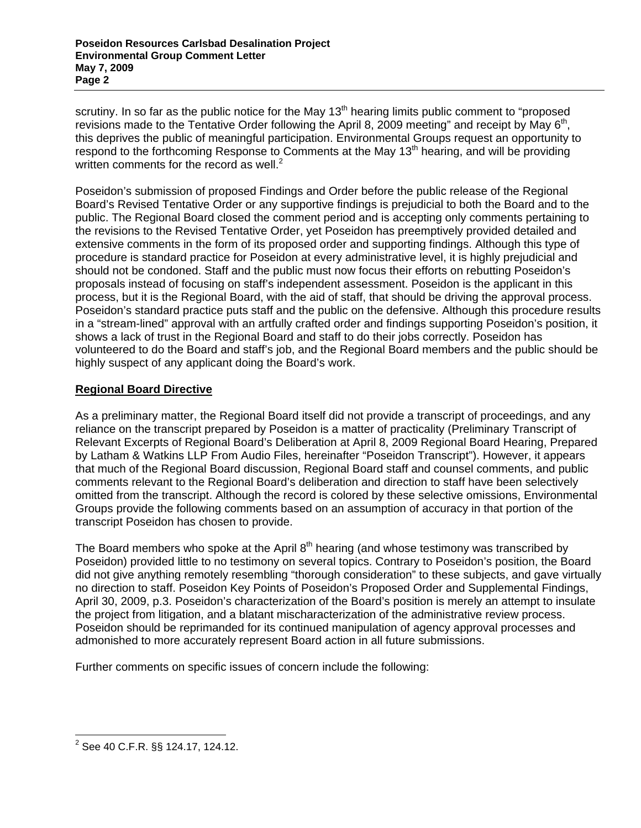scrutiny. In so far as the public notice for the May  $13<sup>th</sup>$  hearing limits public comment to "proposed revisions made to the Tentative Order following the April 8, 2009 meeting" and receipt by May 6<sup>th</sup>, this deprives the public of meaningful participation. Environmental Groups request an opportunity to respond to the forthcoming Response to Comments at the May 13<sup>th</sup> hearing, and will be providing written comments for the record as well. $^2$ 

Poseidon's submission of proposed Findings and Order before the public release of the Regional Board's Revised Tentative Order or any supportive findings is prejudicial to both the Board and to the public. The Regional Board closed the comment period and is accepting only comments pertaining to the revisions to the Revised Tentative Order, yet Poseidon has preemptively provided detailed and extensive comments in the form of its proposed order and supporting findings. Although this type of procedure is standard practice for Poseidon at every administrative level, it is highly prejudicial and should not be condoned. Staff and the public must now focus their efforts on rebutting Poseidon's proposals instead of focusing on staff's independent assessment. Poseidon is the applicant in this process, but it is the Regional Board, with the aid of staff, that should be driving the approval process. Poseidon's standard practice puts staff and the public on the defensive. Although this procedure results in a "stream-lined" approval with an artfully crafted order and findings supporting Poseidon's position, it shows a lack of trust in the Regional Board and staff to do their jobs correctly. Poseidon has volunteered to do the Board and staff's job, and the Regional Board members and the public should be highly suspect of any applicant doing the Board's work.

# **Regional Board Directive**

As a preliminary matter, the Regional Board itself did not provide a transcript of proceedings, and any reliance on the transcript prepared by Poseidon is a matter of practicality (Preliminary Transcript of Relevant Excerpts of Regional Board's Deliberation at April 8, 2009 Regional Board Hearing, Prepared by Latham & Watkins LLP From Audio Files, hereinafter "Poseidon Transcript"). However, it appears that much of the Regional Board discussion, Regional Board staff and counsel comments, and public comments relevant to the Regional Board's deliberation and direction to staff have been selectively omitted from the transcript. Although the record is colored by these selective omissions, Environmental Groups provide the following comments based on an assumption of accuracy in that portion of the transcript Poseidon has chosen to provide.

The Board members who spoke at the April  $8<sup>th</sup>$  hearing (and whose testimony was transcribed by Poseidon) provided little to no testimony on several topics. Contrary to Poseidon's position, the Board did not give anything remotely resembling "thorough consideration" to these subjects, and gave virtually no direction to staff. Poseidon Key Points of Poseidon's Proposed Order and Supplemental Findings, April 30, 2009, p.3. Poseidon's characterization of the Board's position is merely an attempt to insulate the project from litigation, and a blatant mischaracterization of the administrative review process. Poseidon should be reprimanded for its continued manipulation of agency approval processes and admonished to more accurately represent Board action in all future submissions.

Further comments on specific issues of concern include the following:

 2 See 40 C.F.R. §§ 124.17, 124.12.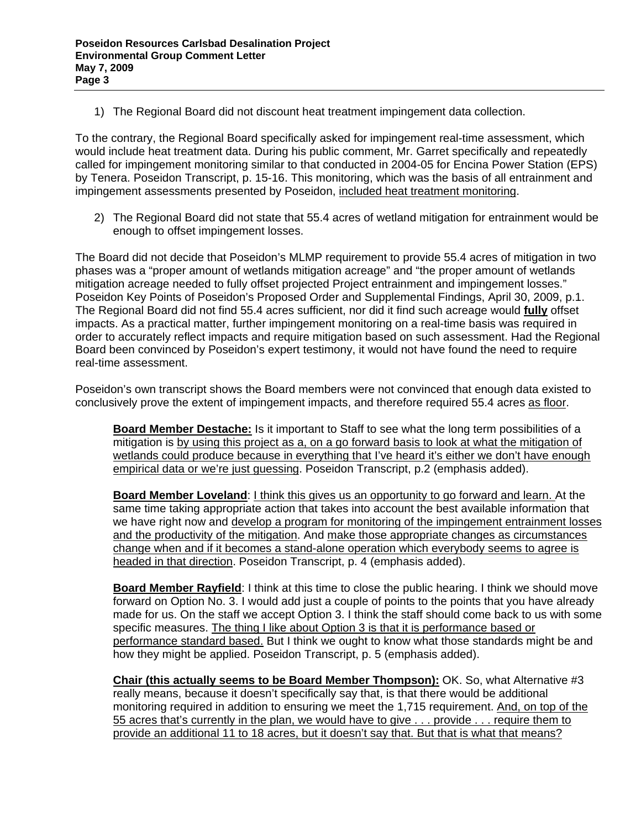1) The Regional Board did not discount heat treatment impingement data collection.

To the contrary, the Regional Board specifically asked for impingement real-time assessment, which would include heat treatment data. During his public comment, Mr. Garret specifically and repeatedly called for impingement monitoring similar to that conducted in 2004-05 for Encina Power Station (EPS) by Tenera. Poseidon Transcript, p. 15-16. This monitoring, which was the basis of all entrainment and impingement assessments presented by Poseidon, included heat treatment monitoring.

2) The Regional Board did not state that 55.4 acres of wetland mitigation for entrainment would be enough to offset impingement losses.

The Board did not decide that Poseidon's MLMP requirement to provide 55.4 acres of mitigation in two phases was a "proper amount of wetlands mitigation acreage" and "the proper amount of wetlands mitigation acreage needed to fully offset projected Project entrainment and impingement losses." Poseidon Key Points of Poseidon's Proposed Order and Supplemental Findings, April 30, 2009, p.1. The Regional Board did not find 55.4 acres sufficient, nor did it find such acreage would **fully** offset impacts. As a practical matter, further impingement monitoring on a real-time basis was required in order to accurately reflect impacts and require mitigation based on such assessment. Had the Regional Board been convinced by Poseidon's expert testimony, it would not have found the need to require real-time assessment.

Poseidon's own transcript shows the Board members were not convinced that enough data existed to conclusively prove the extent of impingement impacts, and therefore required 55.4 acres as floor.

**Board Member Destache:** Is it important to Staff to see what the long term possibilities of a mitigation is by using this project as a, on a go forward basis to look at what the mitigation of wetlands could produce because in everything that I've heard it's either we don't have enough empirical data or we're just guessing. Poseidon Transcript, p.2 (emphasis added).

**Board Member Loveland**: I think this gives us an opportunity to go forward and learn. At the same time taking appropriate action that takes into account the best available information that we have right now and develop a program for monitoring of the impingement entrainment losses and the productivity of the mitigation. And make those appropriate changes as circumstances change when and if it becomes a stand-alone operation which everybody seems to agree is headed in that direction. Poseidon Transcript, p. 4 (emphasis added).

**Board Member Rayfield**: I think at this time to close the public hearing. I think we should move forward on Option No. 3. I would add just a couple of points to the points that you have already made for us. On the staff we accept Option 3. I think the staff should come back to us with some specific measures. The thing I like about Option 3 is that it is performance based or performance standard based. But I think we ought to know what those standards might be and how they might be applied. Poseidon Transcript, p. 5 (emphasis added).

**Chair (this actually seems to be Board Member Thompson):** OK. So, what Alternative #3 really means, because it doesn't specifically say that, is that there would be additional monitoring required in addition to ensuring we meet the 1,715 requirement. And, on top of the 55 acres that's currently in the plan, we would have to give . . . provide . . . require them to provide an additional 11 to 18 acres, but it doesn't say that. But that is what that means?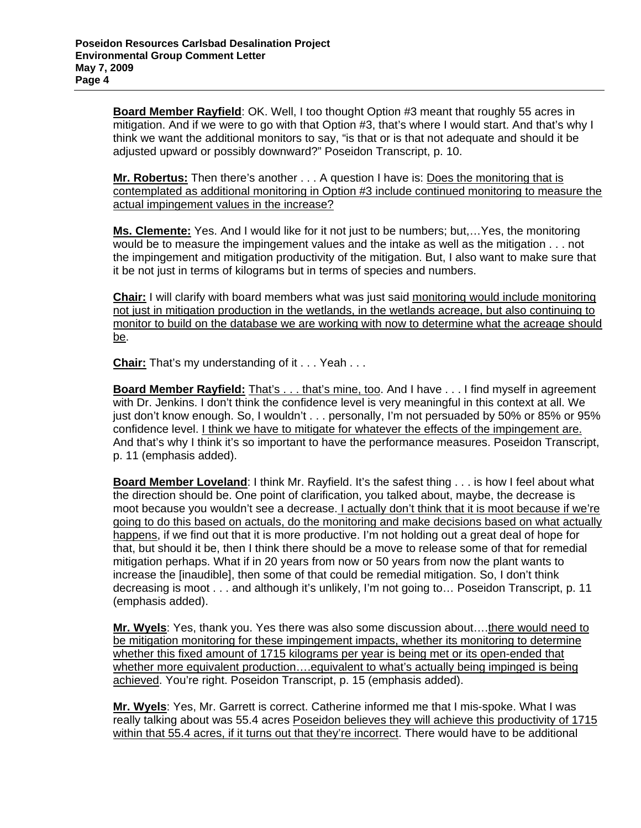**Board Member Rayfield**: OK. Well, I too thought Option #3 meant that roughly 55 acres in mitigation. And if we were to go with that Option #3, that's where I would start. And that's why I think we want the additional monitors to say, "is that or is that not adequate and should it be adjusted upward or possibly downward?" Poseidon Transcript, p. 10.

**Mr. Robertus:** Then there's another . . . A question I have is: Does the monitoring that is contemplated as additional monitoring in Option #3 include continued monitoring to measure the actual impingement values in the increase?

**Ms. Clemente:** Yes. And I would like for it not just to be numbers; but,…Yes, the monitoring would be to measure the impingement values and the intake as well as the mitigation . . . not the impingement and mitigation productivity of the mitigation. But, I also want to make sure that it be not just in terms of kilograms but in terms of species and numbers.

**Chair:** I will clarify with board members what was just said monitoring would include monitoring not just in mitigation production in the wetlands, in the wetlands acreage, but also continuing to monitor to build on the database we are working with now to determine what the acreage should be.

**Chair:** That's my understanding of it . . . Yeah . . .

**Board Member Rayfield:** That's . . . that's mine, too. And I have . . . I find myself in agreement with Dr. Jenkins. I don't think the confidence level is very meaningful in this context at all. We just don't know enough. So, I wouldn't . . . personally, I'm not persuaded by 50% or 85% or 95% confidence level. I think we have to mitigate for whatever the effects of the impingement are. And that's why I think it's so important to have the performance measures. Poseidon Transcript, p. 11 (emphasis added).

**Board Member Loveland**: I think Mr. Rayfield. It's the safest thing . . . is how I feel about what the direction should be. One point of clarification, you talked about, maybe, the decrease is moot because you wouldn't see a decrease. I actually don't think that it is moot because if we're going to do this based on actuals, do the monitoring and make decisions based on what actually happens, if we find out that it is more productive. I'm not holding out a great deal of hope for that, but should it be, then I think there should be a move to release some of that for remedial mitigation perhaps. What if in 20 years from now or 50 years from now the plant wants to increase the [inaudible], then some of that could be remedial mitigation. So, I don't think decreasing is moot . . . and although it's unlikely, I'm not going to… Poseidon Transcript, p. 11 (emphasis added).

**Mr. Wyels**: Yes, thank you. Yes there was also some discussion about….there would need to be mitigation monitoring for these impingement impacts, whether its monitoring to determine whether this fixed amount of 1715 kilograms per year is being met or its open-ended that whether more equivalent production....equivalent to what's actually being impinged is being achieved. You're right. Poseidon Transcript, p. 15 (emphasis added).

**Mr. Wyels**: Yes, Mr. Garrett is correct. Catherine informed me that I mis-spoke. What I was really talking about was 55.4 acres Poseidon believes they will achieve this productivity of 1715 within that 55.4 acres, if it turns out that they're incorrect. There would have to be additional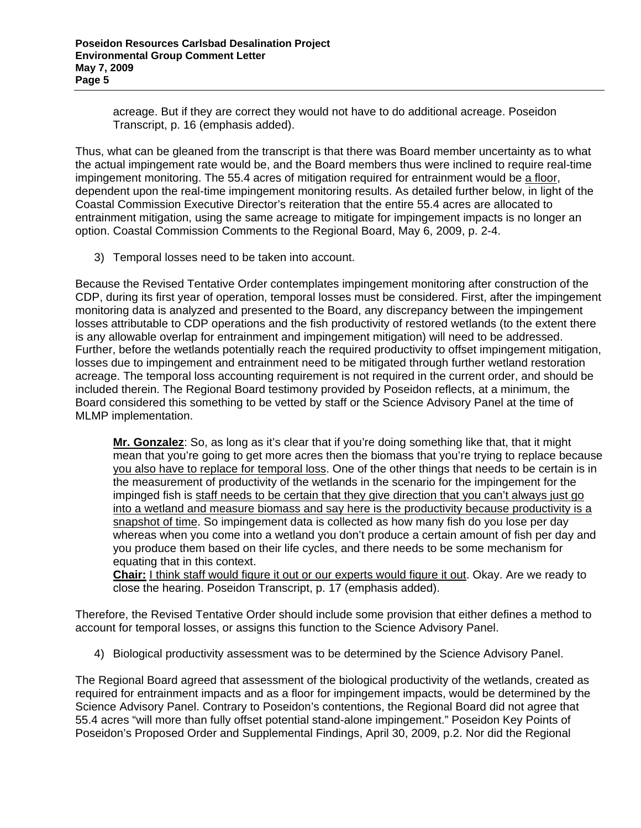acreage. But if they are correct they would not have to do additional acreage. Poseidon Transcript, p. 16 (emphasis added).

Thus, what can be gleaned from the transcript is that there was Board member uncertainty as to what the actual impingement rate would be, and the Board members thus were inclined to require real-time impingement monitoring. The 55.4 acres of mitigation required for entrainment would be a floor, dependent upon the real-time impingement monitoring results. As detailed further below, in light of the Coastal Commission Executive Director's reiteration that the entire 55.4 acres are allocated to entrainment mitigation, using the same acreage to mitigate for impingement impacts is no longer an option. Coastal Commission Comments to the Regional Board, May 6, 2009, p. 2-4.

3) Temporal losses need to be taken into account.

Because the Revised Tentative Order contemplates impingement monitoring after construction of the CDP, during its first year of operation, temporal losses must be considered. First, after the impingement monitoring data is analyzed and presented to the Board, any discrepancy between the impingement losses attributable to CDP operations and the fish productivity of restored wetlands (to the extent there is any allowable overlap for entrainment and impingement mitigation) will need to be addressed. Further, before the wetlands potentially reach the required productivity to offset impingement mitigation, losses due to impingement and entrainment need to be mitigated through further wetland restoration acreage. The temporal loss accounting requirement is not required in the current order, and should be included therein. The Regional Board testimony provided by Poseidon reflects, at a minimum, the Board considered this something to be vetted by staff or the Science Advisory Panel at the time of MLMP implementation.

**Mr. Gonzalez**: So, as long as it's clear that if you're doing something like that, that it might mean that you're going to get more acres then the biomass that you're trying to replace because you also have to replace for temporal loss. One of the other things that needs to be certain is in the measurement of productivity of the wetlands in the scenario for the impingement for the impinged fish is staff needs to be certain that they give direction that you can't always just go into a wetland and measure biomass and say here is the productivity because productivity is a snapshot of time. So impingement data is collected as how many fish do you lose per day whereas when you come into a wetland you don't produce a certain amount of fish per day and you produce them based on their life cycles, and there needs to be some mechanism for equating that in this context.

**Chair:** I think staff would figure it out or our experts would figure it out. Okay. Are we ready to close the hearing. Poseidon Transcript, p. 17 (emphasis added).

Therefore, the Revised Tentative Order should include some provision that either defines a method to account for temporal losses, or assigns this function to the Science Advisory Panel.

4) Biological productivity assessment was to be determined by the Science Advisory Panel.

The Regional Board agreed that assessment of the biological productivity of the wetlands, created as required for entrainment impacts and as a floor for impingement impacts, would be determined by the Science Advisory Panel. Contrary to Poseidon's contentions, the Regional Board did not agree that 55.4 acres "will more than fully offset potential stand-alone impingement." Poseidon Key Points of Poseidon's Proposed Order and Supplemental Findings, April 30, 2009, p.2. Nor did the Regional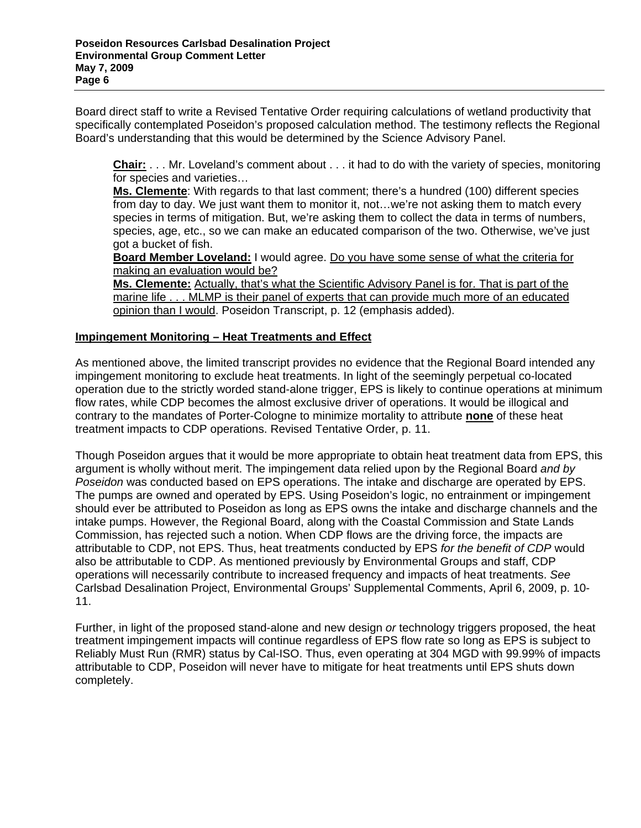Board direct staff to write a Revised Tentative Order requiring calculations of wetland productivity that specifically contemplated Poseidon's proposed calculation method. The testimony reflects the Regional Board's understanding that this would be determined by the Science Advisory Panel.

**Chair:** . . . Mr. Loveland's comment about . . . it had to do with the variety of species, monitoring for species and varieties…

**Ms. Clemente**: With regards to that last comment; there's a hundred (100) different species from day to day. We just want them to monitor it, not…we're not asking them to match every species in terms of mitigation. But, we're asking them to collect the data in terms of numbers, species, age, etc., so we can make an educated comparison of the two. Otherwise, we've just got a bucket of fish.

**Board Member Loveland:** I would agree. Do you have some sense of what the criteria for making an evaluation would be?

**Ms. Clemente:** Actually, that's what the Scientific Advisory Panel is for. That is part of the marine life . . . MLMP is their panel of experts that can provide much more of an educated opinion than I would. Poseidon Transcript, p. 12 (emphasis added).

# **Impingement Monitoring – Heat Treatments and Effect**

As mentioned above, the limited transcript provides no evidence that the Regional Board intended any impingement monitoring to exclude heat treatments. In light of the seemingly perpetual co-located operation due to the strictly worded stand-alone trigger, EPS is likely to continue operations at minimum flow rates, while CDP becomes the almost exclusive driver of operations. It would be illogical and contrary to the mandates of Porter-Cologne to minimize mortality to attribute **none** of these heat treatment impacts to CDP operations. Revised Tentative Order, p. 11.

Though Poseidon argues that it would be more appropriate to obtain heat treatment data from EPS, this argument is wholly without merit. The impingement data relied upon by the Regional Board *and by Poseidon* was conducted based on EPS operations. The intake and discharge are operated by EPS. The pumps are owned and operated by EPS. Using Poseidon's logic, no entrainment or impingement should ever be attributed to Poseidon as long as EPS owns the intake and discharge channels and the intake pumps. However, the Regional Board, along with the Coastal Commission and State Lands Commission, has rejected such a notion. When CDP flows are the driving force, the impacts are attributable to CDP, not EPS. Thus, heat treatments conducted by EPS *for the benefit of CDP* would also be attributable to CDP. As mentioned previously by Environmental Groups and staff, CDP operations will necessarily contribute to increased frequency and impacts of heat treatments. *See* Carlsbad Desalination Project, Environmental Groups' Supplemental Comments, April 6, 2009, p. 10- 11.

Further, in light of the proposed stand-alone and new design *or* technology triggers proposed, the heat treatment impingement impacts will continue regardless of EPS flow rate so long as EPS is subject to Reliably Must Run (RMR) status by Cal-ISO. Thus, even operating at 304 MGD with 99.99% of impacts attributable to CDP, Poseidon will never have to mitigate for heat treatments until EPS shuts down completely.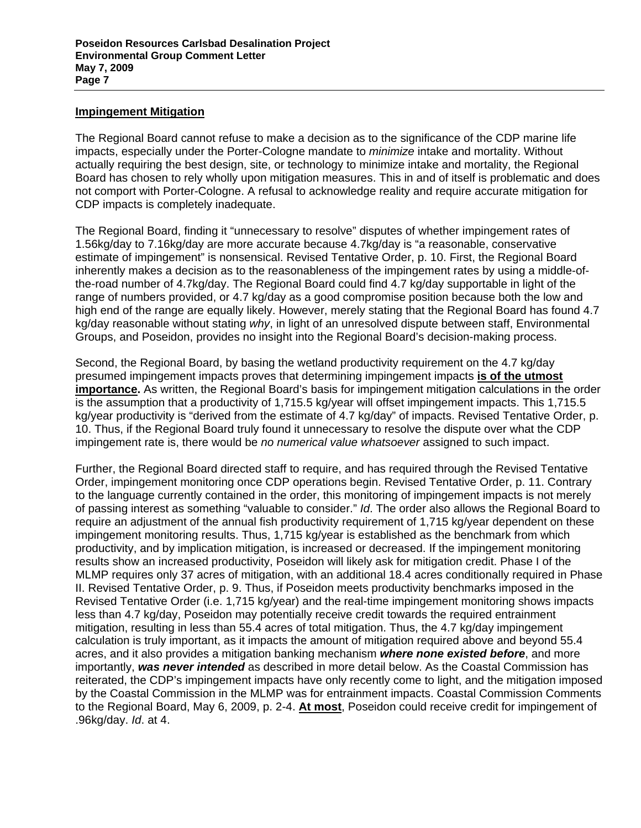#### **Impingement Mitigation**

The Regional Board cannot refuse to make a decision as to the significance of the CDP marine life impacts, especially under the Porter-Cologne mandate to *minimize* intake and mortality. Without actually requiring the best design, site, or technology to minimize intake and mortality, the Regional Board has chosen to rely wholly upon mitigation measures. This in and of itself is problematic and does not comport with Porter-Cologne. A refusal to acknowledge reality and require accurate mitigation for CDP impacts is completely inadequate.

The Regional Board, finding it "unnecessary to resolve" disputes of whether impingement rates of 1.56kg/day to 7.16kg/day are more accurate because 4.7kg/day is "a reasonable, conservative estimate of impingement" is nonsensical. Revised Tentative Order, p. 10. First, the Regional Board inherently makes a decision as to the reasonableness of the impingement rates by using a middle-ofthe-road number of 4.7kg/day. The Regional Board could find 4.7 kg/day supportable in light of the range of numbers provided, or 4.7 kg/day as a good compromise position because both the low and high end of the range are equally likely. However, merely stating that the Regional Board has found 4.7 kg/day reasonable without stating *why*, in light of an unresolved dispute between staff, Environmental Groups, and Poseidon, provides no insight into the Regional Board's decision-making process.

Second, the Regional Board, by basing the wetland productivity requirement on the 4.7 kg/day presumed impingement impacts proves that determining impingement impacts **is of the utmost importance.** As written, the Regional Board's basis for impingement mitigation calculations in the order is the assumption that a productivity of 1,715.5 kg/year will offset impingement impacts. This 1,715.5 kg/year productivity is "derived from the estimate of 4.7 kg/day" of impacts. Revised Tentative Order, p. 10. Thus, if the Regional Board truly found it unnecessary to resolve the dispute over what the CDP impingement rate is, there would be *no numerical value whatsoever* assigned to such impact.

Further, the Regional Board directed staff to require, and has required through the Revised Tentative Order, impingement monitoring once CDP operations begin. Revised Tentative Order, p. 11. Contrary to the language currently contained in the order, this monitoring of impingement impacts is not merely of passing interest as something "valuable to consider." *Id*. The order also allows the Regional Board to require an adjustment of the annual fish productivity requirement of 1,715 kg/year dependent on these impingement monitoring results. Thus, 1,715 kg/year is established as the benchmark from which productivity, and by implication mitigation, is increased or decreased. If the impingement monitoring results show an increased productivity, Poseidon will likely ask for mitigation credit. Phase I of the MLMP requires only 37 acres of mitigation, with an additional 18.4 acres conditionally required in Phase II. Revised Tentative Order, p. 9. Thus, if Poseidon meets productivity benchmarks imposed in the Revised Tentative Order (i.e. 1,715 kg/year) and the real-time impingement monitoring shows impacts less than 4.7 kg/day, Poseidon may potentially receive credit towards the required entrainment mitigation, resulting in less than 55.4 acres of total mitigation. Thus, the 4.7 kg/day impingement calculation is truly important, as it impacts the amount of mitigation required above and beyond 55.4 acres, and it also provides a mitigation banking mechanism *where none existed before*, and more importantly, *was never intended* as described in more detail below. As the Coastal Commission has reiterated, the CDP's impingement impacts have only recently come to light, and the mitigation imposed by the Coastal Commission in the MLMP was for entrainment impacts. Coastal Commission Comments to the Regional Board, May 6, 2009, p. 2-4. **At most**, Poseidon could receive credit for impingement of .96kg/day. *Id*. at 4.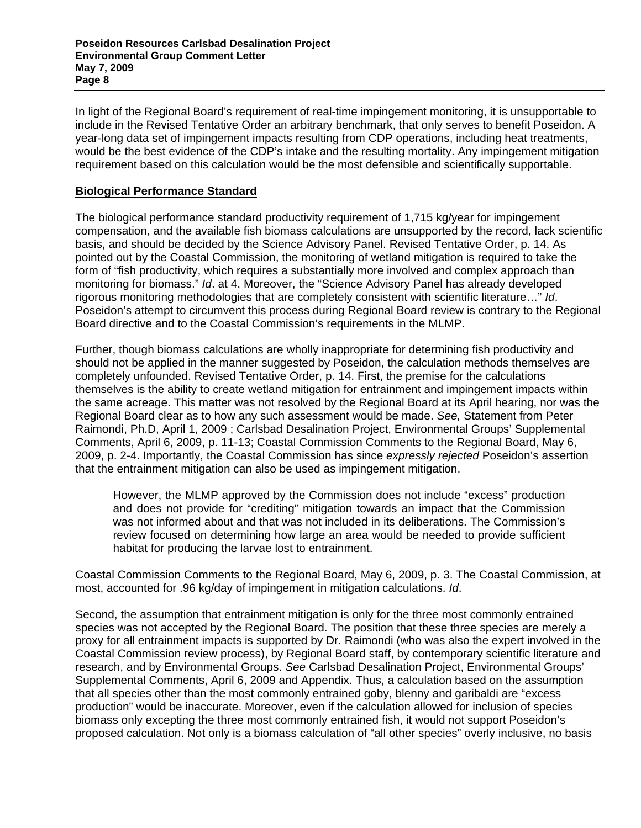In light of the Regional Board's requirement of real-time impingement monitoring, it is unsupportable to include in the Revised Tentative Order an arbitrary benchmark, that only serves to benefit Poseidon. A year-long data set of impingement impacts resulting from CDP operations, including heat treatments, would be the best evidence of the CDP's intake and the resulting mortality. Any impingement mitigation requirement based on this calculation would be the most defensible and scientifically supportable.

### **Biological Performance Standard**

The biological performance standard productivity requirement of 1,715 kg/year for impingement compensation, and the available fish biomass calculations are unsupported by the record, lack scientific basis, and should be decided by the Science Advisory Panel. Revised Tentative Order, p. 14. As pointed out by the Coastal Commission, the monitoring of wetland mitigation is required to take the form of "fish productivity, which requires a substantially more involved and complex approach than monitoring for biomass." *Id*. at 4. Moreover, the "Science Advisory Panel has already developed rigorous monitoring methodologies that are completely consistent with scientific literature…" *Id*. Poseidon's attempt to circumvent this process during Regional Board review is contrary to the Regional Board directive and to the Coastal Commission's requirements in the MLMP.

Further, though biomass calculations are wholly inappropriate for determining fish productivity and should not be applied in the manner suggested by Poseidon, the calculation methods themselves are completely unfounded. Revised Tentative Order, p. 14. First, the premise for the calculations themselves is the ability to create wetland mitigation for entrainment and impingement impacts within the same acreage. This matter was not resolved by the Regional Board at its April hearing, nor was the Regional Board clear as to how any such assessment would be made. *See,* Statement from Peter Raimondi, Ph.D, April 1, 2009 ; Carlsbad Desalination Project, Environmental Groups' Supplemental Comments, April 6, 2009, p. 11-13; Coastal Commission Comments to the Regional Board, May 6, 2009, p. 2-4. Importantly, the Coastal Commission has since *expressly rejected* Poseidon's assertion that the entrainment mitigation can also be used as impingement mitigation.

However, the MLMP approved by the Commission does not include "excess" production and does not provide for "crediting" mitigation towards an impact that the Commission was not informed about and that was not included in its deliberations. The Commission's review focused on determining how large an area would be needed to provide sufficient habitat for producing the larvae lost to entrainment.

Coastal Commission Comments to the Regional Board, May 6, 2009, p. 3. The Coastal Commission, at most, accounted for .96 kg/day of impingement in mitigation calculations. *Id*.

Second, the assumption that entrainment mitigation is only for the three most commonly entrained species was not accepted by the Regional Board. The position that these three species are merely a proxy for all entrainment impacts is supported by Dr. Raimondi (who was also the expert involved in the Coastal Commission review process), by Regional Board staff, by contemporary scientific literature and research, and by Environmental Groups. *See* Carlsbad Desalination Project, Environmental Groups' Supplemental Comments, April 6, 2009 and Appendix. Thus, a calculation based on the assumption that all species other than the most commonly entrained goby, blenny and garibaldi are "excess production" would be inaccurate. Moreover, even if the calculation allowed for inclusion of species biomass only excepting the three most commonly entrained fish, it would not support Poseidon's proposed calculation. Not only is a biomass calculation of "all other species" overly inclusive, no basis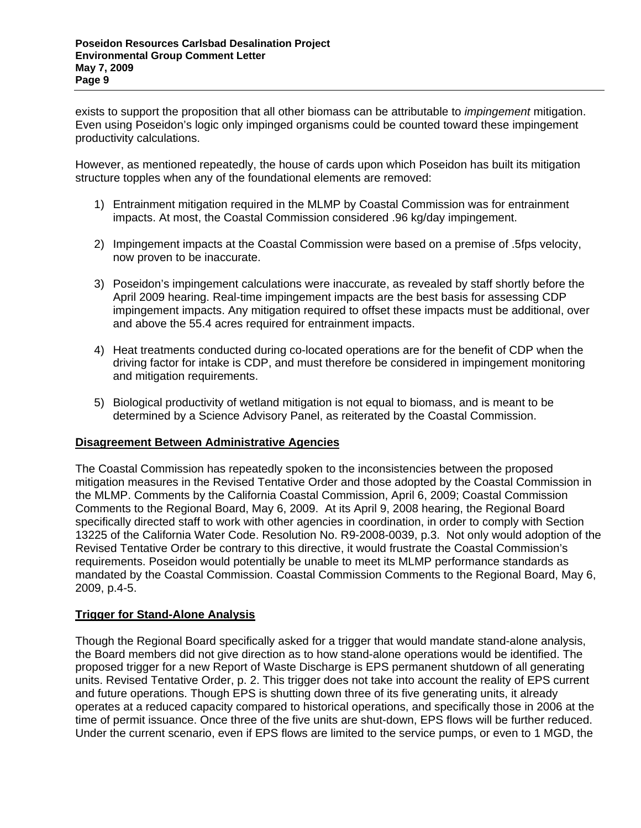exists to support the proposition that all other biomass can be attributable to *impingement* mitigation. Even using Poseidon's logic only impinged organisms could be counted toward these impingement productivity calculations.

However, as mentioned repeatedly, the house of cards upon which Poseidon has built its mitigation structure topples when any of the foundational elements are removed:

- 1) Entrainment mitigation required in the MLMP by Coastal Commission was for entrainment impacts. At most, the Coastal Commission considered .96 kg/day impingement.
- 2) Impingement impacts at the Coastal Commission were based on a premise of .5fps velocity, now proven to be inaccurate.
- 3) Poseidon's impingement calculations were inaccurate, as revealed by staff shortly before the April 2009 hearing. Real-time impingement impacts are the best basis for assessing CDP impingement impacts. Any mitigation required to offset these impacts must be additional, over and above the 55.4 acres required for entrainment impacts.
- 4) Heat treatments conducted during co-located operations are for the benefit of CDP when the driving factor for intake is CDP, and must therefore be considered in impingement monitoring and mitigation requirements.
- 5) Biological productivity of wetland mitigation is not equal to biomass, and is meant to be determined by a Science Advisory Panel, as reiterated by the Coastal Commission.

# **Disagreement Between Administrative Agencies**

The Coastal Commission has repeatedly spoken to the inconsistencies between the proposed mitigation measures in the Revised Tentative Order and those adopted by the Coastal Commission in the MLMP. Comments by the California Coastal Commission, April 6, 2009; Coastal Commission Comments to the Regional Board, May 6, 2009. At its April 9, 2008 hearing, the Regional Board specifically directed staff to work with other agencies in coordination, in order to comply with Section 13225 of the California Water Code. Resolution No. R9-2008-0039, p.3. Not only would adoption of the Revised Tentative Order be contrary to this directive, it would frustrate the Coastal Commission's requirements. Poseidon would potentially be unable to meet its MLMP performance standards as mandated by the Coastal Commission. Coastal Commission Comments to the Regional Board, May 6, 2009, p.4-5.

# **Trigger for Stand-Alone Analysis**

Though the Regional Board specifically asked for a trigger that would mandate stand-alone analysis, the Board members did not give direction as to how stand-alone operations would be identified. The proposed trigger for a new Report of Waste Discharge is EPS permanent shutdown of all generating units. Revised Tentative Order, p. 2. This trigger does not take into account the reality of EPS current and future operations. Though EPS is shutting down three of its five generating units, it already operates at a reduced capacity compared to historical operations, and specifically those in 2006 at the time of permit issuance. Once three of the five units are shut-down, EPS flows will be further reduced. Under the current scenario, even if EPS flows are limited to the service pumps, or even to 1 MGD, the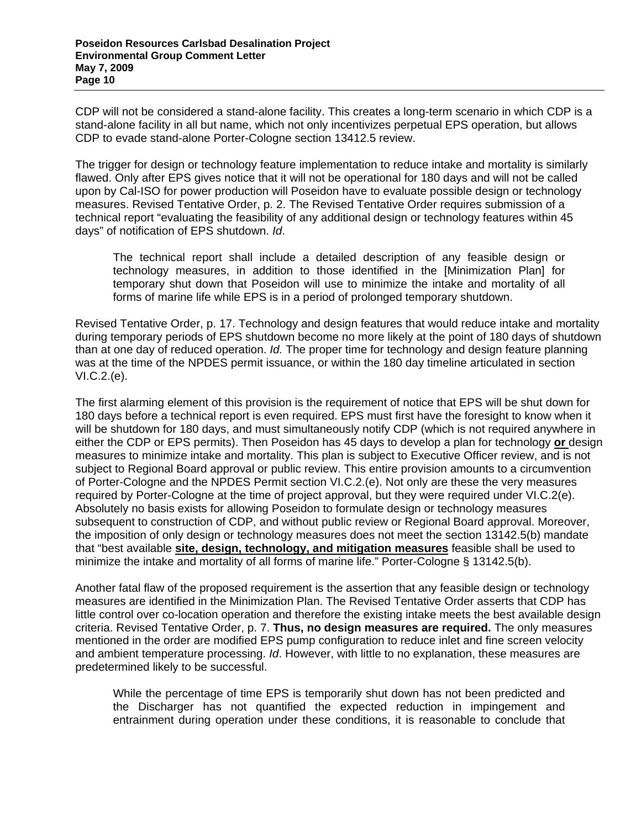CDP will not be considered a stand-alone facility. This creates a long-term scenario in which CDP is a stand-alone facility in all but name, which not only incentivizes perpetual EPS operation, but allows CDP to evade stand-alone Porter-Cologne section 13412.5 review.

The trigger for design or technology feature implementation to reduce intake and mortality is similarly flawed. Only after EPS gives notice that it will not be operational for 180 days and will not be called upon by Cal-ISO for power production will Poseidon have to evaluate possible design or technology measures. Revised Tentative Order, p. 2. The Revised Tentative Order requires submission of a technical report "evaluating the feasibility of any additional design or technology features within 45 days" of notification of EPS shutdown. *Id*.

The technical report shall include a detailed description of any feasible design or technology measures, in addition to those identified in the [Minimization Plan] for temporary shut down that Poseidon will use to minimize the intake and mortality of all forms of marine life while EPS is in a period of prolonged temporary shutdown.

Revised Tentative Order, p. 17. Technology and design features that would reduce intake and mortality during temporary periods of EPS shutdown become no more likely at the point of 180 days of shutdown than at one day of reduced operation. *Id.* The proper time for technology and design feature planning was at the time of the NPDES permit issuance, or within the 180 day timeline articulated in section VI.C.2.(e).

The first alarming element of this provision is the requirement of notice that EPS will be shut down for 180 days before a technical report is even required. EPS must first have the foresight to know when it will be shutdown for 180 days, and must simultaneously notify CDP (which is not required anywhere in either the CDP or EPS permits). Then Poseidon has 45 days to develop a plan for technology **or** design measures to minimize intake and mortality. This plan is subject to Executive Officer review, and is not subject to Regional Board approval or public review. This entire provision amounts to a circumvention of Porter-Cologne and the NPDES Permit section VI.C.2.(e). Not only are these the very measures required by Porter-Cologne at the time of project approval, but they were required under VI.C.2(e). Absolutely no basis exists for allowing Poseidon to formulate design or technology measures subsequent to construction of CDP, and without public review or Regional Board approval. Moreover, the imposition of only design or technology measures does not meet the section 13142.5(b) mandate that "best available **site, design, technology, and mitigation measures** feasible shall be used to minimize the intake and mortality of all forms of marine life." Porter-Cologne § 13142.5(b).

Another fatal flaw of the proposed requirement is the assertion that any feasible design or technology measures are identified in the Minimization Plan. The Revised Tentative Order asserts that CDP has little control over co-location operation and therefore the existing intake meets the best available design criteria. Revised Tentative Order, p. 7. **Thus, no design measures are required.** The only measures mentioned in the order are modified EPS pump configuration to reduce inlet and fine screen velocity and ambient temperature processing. *Id*. However, with little to no explanation, these measures are predetermined likely to be successful.

While the percentage of time EPS is temporarily shut down has not been predicted and the Discharger has not quantified the expected reduction in impingement and entrainment during operation under these conditions, it is reasonable to conclude that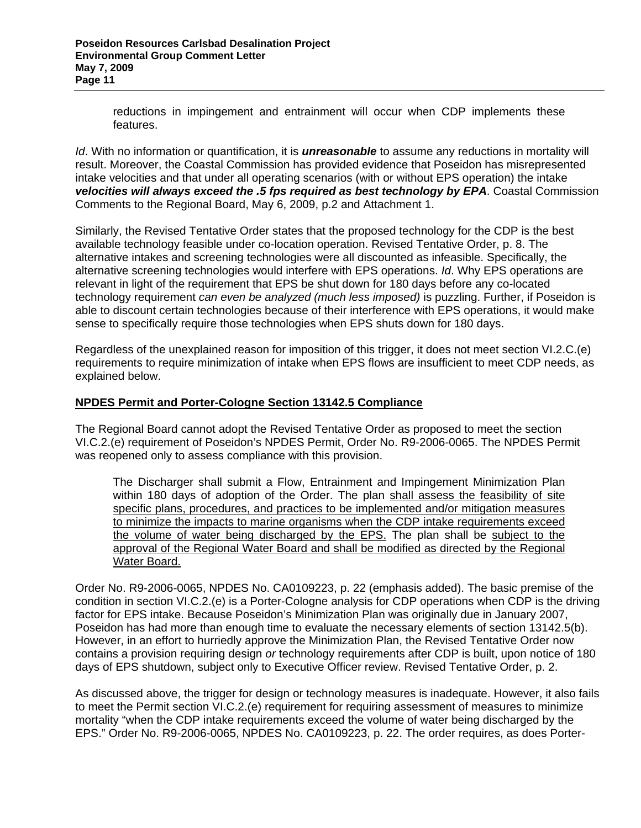reductions in impingement and entrainment will occur when CDP implements these features.

*Id*. With no information or quantification, it is *unreasonable* to assume any reductions in mortality will result. Moreover, the Coastal Commission has provided evidence that Poseidon has misrepresented intake velocities and that under all operating scenarios (with or without EPS operation) the intake *velocities will always exceed the .5 fps required as best technology by EPA*. Coastal Commission Comments to the Regional Board, May 6, 2009, p.2 and Attachment 1.

Similarly, the Revised Tentative Order states that the proposed technology for the CDP is the best available technology feasible under co-location operation. Revised Tentative Order, p. 8. The alternative intakes and screening technologies were all discounted as infeasible. Specifically, the alternative screening technologies would interfere with EPS operations. *Id*. Why EPS operations are relevant in light of the requirement that EPS be shut down for 180 days before any co-located technology requirement *can even be analyzed (much less imposed)* is puzzling. Further, if Poseidon is able to discount certain technologies because of their interference with EPS operations, it would make sense to specifically require those technologies when EPS shuts down for 180 days.

Regardless of the unexplained reason for imposition of this trigger, it does not meet section VI.2.C.(e) requirements to require minimization of intake when EPS flows are insufficient to meet CDP needs, as explained below.

### **NPDES Permit and Porter-Cologne Section 13142.5 Compliance**

The Regional Board cannot adopt the Revised Tentative Order as proposed to meet the section VI.C.2.(e) requirement of Poseidon's NPDES Permit, Order No. R9-2006-0065. The NPDES Permit was reopened only to assess compliance with this provision.

The Discharger shall submit a Flow, Entrainment and Impingement Minimization Plan within 180 days of adoption of the Order. The plan shall assess the feasibility of site specific plans, procedures, and practices to be implemented and/or mitigation measures to minimize the impacts to marine organisms when the CDP intake requirements exceed the volume of water being discharged by the EPS. The plan shall be subject to the approval of the Regional Water Board and shall be modified as directed by the Regional Water Board.

Order No. R9-2006-0065, NPDES No. CA0109223, p. 22 (emphasis added). The basic premise of the condition in section VI.C.2.(e) is a Porter-Cologne analysis for CDP operations when CDP is the driving factor for EPS intake. Because Poseidon's Minimization Plan was originally due in January 2007, Poseidon has had more than enough time to evaluate the necessary elements of section 13142.5(b). However, in an effort to hurriedly approve the Minimization Plan, the Revised Tentative Order now contains a provision requiring design *or* technology requirements after CDP is built, upon notice of 180 days of EPS shutdown, subject only to Executive Officer review. Revised Tentative Order, p. 2.

As discussed above, the trigger for design or technology measures is inadequate. However, it also fails to meet the Permit section VI.C.2.(e) requirement for requiring assessment of measures to minimize mortality "when the CDP intake requirements exceed the volume of water being discharged by the EPS." Order No. R9-2006-0065, NPDES No. CA0109223, p. 22. The order requires, as does Porter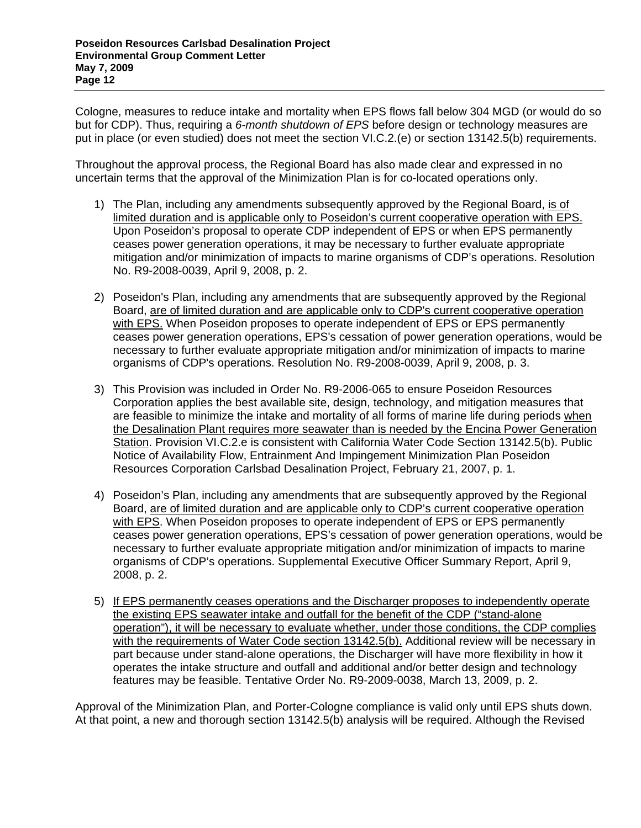Cologne, measures to reduce intake and mortality when EPS flows fall below 304 MGD (or would do so but for CDP). Thus, requiring a *6-month shutdown of EPS* before design or technology measures are put in place (or even studied) does not meet the section VI.C.2.(e) or section 13142.5(b) requirements.

Throughout the approval process, the Regional Board has also made clear and expressed in no uncertain terms that the approval of the Minimization Plan is for co-located operations only.

- 1) The Plan, including any amendments subsequently approved by the Regional Board, is of limited duration and is applicable only to Poseidon's current cooperative operation with EPS. Upon Poseidon's proposal to operate CDP independent of EPS or when EPS permanently ceases power generation operations, it may be necessary to further evaluate appropriate mitigation and/or minimization of impacts to marine organisms of CDP's operations. Resolution No. R9-2008-0039, April 9, 2008, p. 2.
- 2) Poseidon's Plan, including any amendments that are subsequently approved by the Regional Board, are of limited duration and are applicable only to CDP's current cooperative operation with EPS. When Poseidon proposes to operate independent of EPS or EPS permanently ceases power generation operations, EPS's cessation of power generation operations, would be necessary to further evaluate appropriate mitigation and/or minimization of impacts to marine organisms of CDP's operations. Resolution No. R9-2008-0039, April 9, 2008, p. 3.
- 3) This Provision was included in Order No. R9-2006-065 to ensure Poseidon Resources Corporation applies the best available site, design, technology, and mitigation measures that are feasible to minimize the intake and mortality of all forms of marine life during periods when the Desalination Plant requires more seawater than is needed by the Encina Power Generation Station. Provision VI.C.2.e is consistent with California Water Code Section 13142.5(b). Public Notice of Availability Flow, Entrainment And Impingement Minimization Plan Poseidon Resources Corporation Carlsbad Desalination Project, February 21, 2007, p. 1.
- 4) Poseidon's Plan, including any amendments that are subsequently approved by the Regional Board, are of limited duration and are applicable only to CDP's current cooperative operation with EPS. When Poseidon proposes to operate independent of EPS or EPS permanently ceases power generation operations, EPS's cessation of power generation operations, would be necessary to further evaluate appropriate mitigation and/or minimization of impacts to marine organisms of CDP's operations. Supplemental Executive Officer Summary Report, April 9, 2008, p. 2.
- 5) If EPS permanently ceases operations and the Discharger proposes to independently operate the existing EPS seawater intake and outfall for the benefit of the CDP ("stand-alone operation"), it will be necessary to evaluate whether, under those conditions, the CDP complies with the requirements of Water Code section 13142.5(b). Additional review will be necessary in part because under stand-alone operations, the Discharger will have more flexibility in how it operates the intake structure and outfall and additional and/or better design and technology features may be feasible. Tentative Order No. R9-2009-0038, March 13, 2009, p. 2.

Approval of the Minimization Plan, and Porter-Cologne compliance is valid only until EPS shuts down. At that point, a new and thorough section 13142.5(b) analysis will be required. Although the Revised